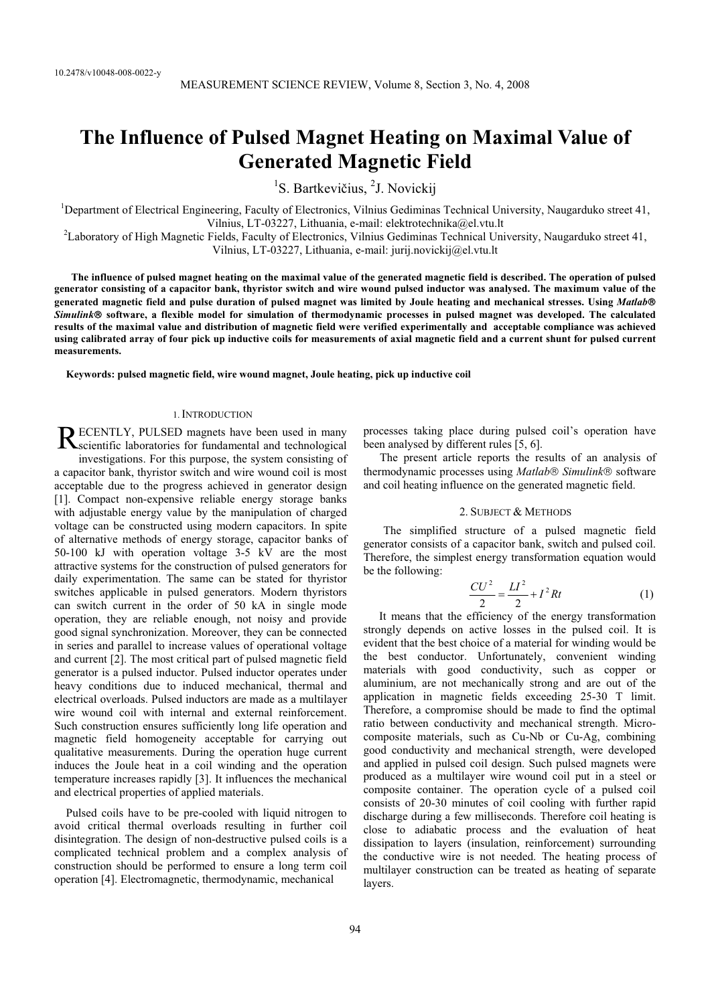# **The Influence of Pulsed Magnet Heating on Maximal Value of Generated Magnetic Field**

<sup>1</sup>S. Bartkevičius, <sup>2</sup>J. Novickij

<sup>1</sup>Department of Electrical Engineering, Faculty of Electronics, Vilnius Gediminas Technical University, Naugarduko street 41, Vilnius, LT-03227, Lithuania, e-mail: elektrotechnika@el.vtu.lt 2

 ${}^{2}$ Laboratory of High Magnetic Fields, Faculty of Electronics, Vilnius Gediminas Technical University, Naugarduko street 41, Vilnius, LT-03227, Lithuania, e-mail: jurij.novickij@el.vtu.lt

 **The influence of pulsed magnet heating on the maximal value of the generated magnetic field is described. The operation of pulsed generator consisting of a capacitor bank, thyristor switch and wire wound pulsed inductor was analysed. The maximum value of the generated magnetic field and pulse duration of pulsed magnet was limited by Joule heating and mechanical stresses. Using** *Matlab*£ *Simulink*£ **software, a flexible model for simulation of thermodynamic processes in pulsed magnet was developed. The calculated results of the maximal value and distribution of magnetic field were verified experimentally and acceptable compliance was achieved using calibrated array of four pick up inductive coils for measurements of axial magnetic field and a current shunt for pulsed current measurements.** 

**Keywords: pulsed magnetic field, wire wound magnet, Joule heating, pick up inductive coil** 

### 1.INTRODUCTION

ECENTLY, PULSED magnets have been used in many RECENTLY, PULSED magnets have been used in many Socientific laboratories for fundamental and technological investigations. For this purpose, the system consisting of a capacitor bank, thyristor switch and wire wound coil is most acceptable due to the progress achieved in generator design [1]. Compact non-expensive reliable energy storage banks with adjustable energy value by the manipulation of charged voltage can be constructed using modern capacitors. In spite of alternative methods of energy storage, capacitor banks of 50-100 kJ with operation voltage 3-5 kV are the most attractive systems for the construction of pulsed generators for daily experimentation. The same can be stated for thyristor switches applicable in pulsed generators. Modern thyristors can switch current in the order of 50 kA in single mode operation, they are reliable enough, not noisy and provide good signal synchronization. Moreover, they can be connected in series and parallel to increase values of operational voltage and current [2]. The most critical part of pulsed magnetic field generator is a pulsed inductor. Pulsed inductor operates under heavy conditions due to induced mechanical, thermal and electrical overloads. Pulsed inductors are made as a multilayer wire wound coil with internal and external reinforcement. Such construction ensures sufficiently long life operation and magnetic field homogeneity acceptable for carrying out qualitative measurements. During the operation huge current induces the Joule heat in a coil winding and the operation temperature increases rapidly [3]. It influences the mechanical and electrical properties of applied materials.

 Pulsed coils have to be pre-cooled with liquid nitrogen to avoid critical thermal overloads resulting in further coil disintegration. The design of non-destructive pulsed coils is a complicated technical problem and a complex analysis of construction should be performed to ensure a long term coil operation [4]. Electromagnetic, thermodynamic, mechanical

processes taking place during pulsed coil's operation have been analysed by different rules [5, 6].

The present article reports the results of an analysis of thermodynamic processes using *Matlab*<sup>®</sup> Simulink<sup>®</sup> software and coil heating influence on the generated magnetic field.

#### 2. SUBJECT & METHODS

The simplified structure of a pulsed magnetic field generator consists of a capacitor bank, switch and pulsed coil. Therefore, the simplest energy transformation equation would be the following:

$$
\frac{CU^2}{2} = \frac{LI^2}{2} + I^2 Rt
$$
 (1)

It means that the efficiency of the energy transformation strongly depends on active losses in the pulsed coil. It is evident that the best choice of a material for winding would be the best conductor. Unfortunately, convenient winding materials with good conductivity, such as copper or aluminium, are not mechanically strong and are out of the application in magnetic fields exceeding 25-30 T limit. Therefore, a compromise should be made to find the optimal ratio between conductivity and mechanical strength. Microcomposite materials, such as Cu-Nb or Cu-Ag, combining good conductivity and mechanical strength, were developed and applied in pulsed coil design. Such pulsed magnets were produced as a multilayer wire wound coil put in a steel or composite container. The operation cycle of a pulsed coil consists of 20-30 minutes of coil cooling with further rapid discharge during a few milliseconds. Therefore coil heating is close to adiabatic process and the evaluation of heat dissipation to layers (insulation, reinforcement) surrounding the conductive wire is not needed. The heating process of multilayer construction can be treated as heating of separate layers.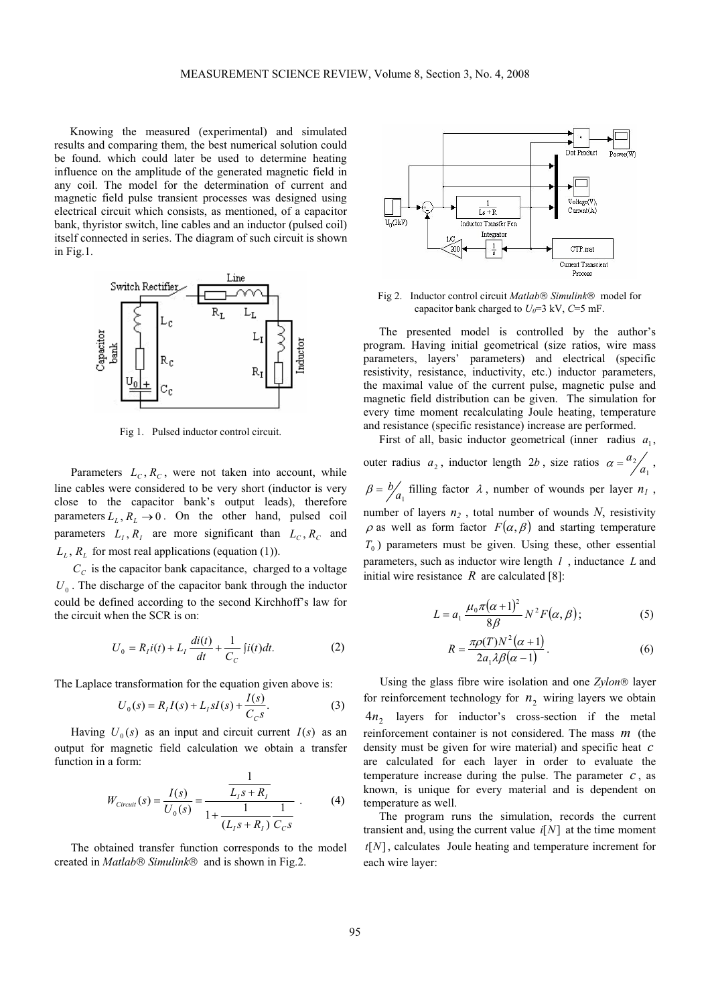Knowing the measured (experimental) and simulated results and comparing them, the best numerical solution could be found. which could later be used to determine heating influence on the amplitude of the generated magnetic field in any coil. The model for the determination of current and magnetic field pulse transient processes was designed using electrical circuit which consists, as mentioned, of a capacitor bank, thyristor switch, line cables and an inductor (pulsed coil) itself connected in series. The diagram of such circuit is shown in Fig.1.



Fig 1. Pulsed inductor control circuit.

Parameters  $L_c$ ,  $R_c$ , were not taken into account, while line cables were considered to be very short (inductor is very close to the capacitor bank's output leads), therefore parameters  $L_{\ell}$ ,  $R_{\ell} \rightarrow 0$ . On the other hand, pulsed coil parameters  $L_1, R_1$  are more significant than  $L_C, R_C$  and  $L_L$ ,  $R_L$  for most real applications (equation (1)).

 $C<sub>C</sub>$  is the capacitor bank capacitance, charged to a voltage  $U_0$ . The discharge of the capacitor bank through the inductor could be defined according to the second Kirchhoff's law for the circuit when the SCR is on:

$$
U_0 = R_I i(t) + L_I \frac{di(t)}{dt} + \frac{1}{C_C} [i(t)dt.
$$
 (2)

The Laplace transformation for the equation given above is:

$$
U_0(s) = R_1 I(s) + L_1 s I(s) + \frac{I(s)}{C_c s}.
$$
 (3)

Having  $U_0(s)$  as an input and circuit current  $I(s)$  as an output for magnetic field calculation we obtain a transfer function in a form:

$$
W_{Circuit}(s) = \frac{I(s)}{U_0(s)} = \frac{\frac{1}{L_f s + R_f}}{1 + \frac{1}{(L_f s + R_f)} \frac{1}{C_c s}} \tag{4}
$$

1

The obtained transfer function corresponds to the model created in *Matlab*£ *Simulink*£ and is shown in Fig.2.



Fig 2. Inductor control circuit *Matlab*<sup>®</sup> Simulink<sup>®</sup> model for capacitor bank charged to  $U_0=3$  kV,  $C=5$  mF.

The presented model is controlled by the author's program. Having initial geometrical (size ratios, wire mass parameters, layers' parameters) and electrical (specific resistivity, resistance, inductivity, etc.) inductor parameters, the maximal value of the current pulse, magnetic pulse and magnetic field distribution can be given. The simulation for every time moment recalculating Joule heating, temperature and resistance (specific resistance) increase are performed.

First of all, basic inductor geometrical (inner radius  $a_1$ , outer radius  $a_2$ , inductor length 2*b*, size ratios  $\alpha = \frac{a_2}{a_1}$ ,  $\beta = \frac{b}{a_1}$  filling factor  $\lambda$ , number of wounds per layer  $n_1$ , number of layers  $n_2$ , total number of wounds  $N$ , resistivity  $\rho$  as well as form factor  $F(\alpha, \beta)$  and starting temperature  $T<sub>0</sub>$ ) parameters must be given. Using these, other essential parameters, such as inductor wire length *l* , inductance *L* and initial wire resistance  $R$  are calculated [8]:

$$
L = a_1 \frac{\mu_0 \pi (\alpha + 1)^2}{8\beta} N^2 F(\alpha, \beta); \tag{5}
$$

$$
R = \frac{\pi \rho(T) N^2 (\alpha + 1)}{2a_1 \lambda \beta (\alpha - 1)}.
$$
\n(6)

Using the glass fibre wire isolation and one *Zylon*<sup>®</sup> layer for reinforcement technology for  $n_2$  wiring layers we obtain  $4n_2$  layers for inductor's cross-section if the metal reinforcement container is not considered. The mass *m* (the density must be given for wire material) and specific heat *c* are calculated for each layer in order to evaluate the temperature increase during the pulse. The parameter  $c$ , as known, is unique for every material and is dependent on temperature as well.

The program runs the simulation, records the current transient and, using the current value *i*[*N*] at the time moment *t*[*N*], calculates Joule heating and temperature increment for each wire layer: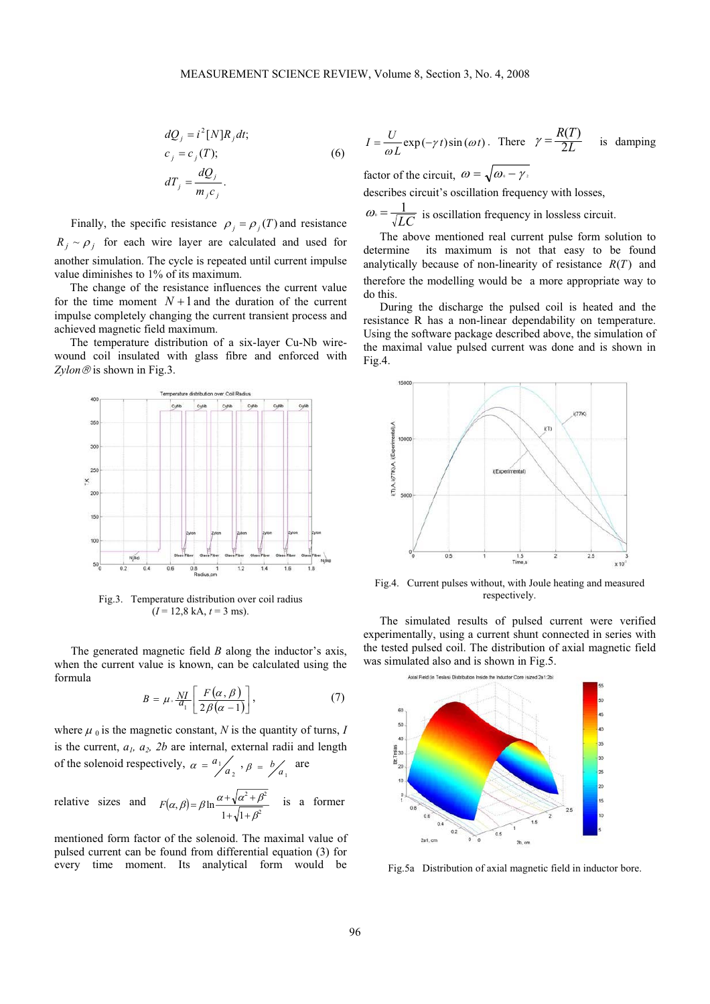$$
dQ_j = i^2 [N]R_j dt;
$$
  
\n
$$
c_j = c_j(T);
$$
  
\n
$$
dT_j = \frac{dQ_j}{m_j c_j}.
$$
\n(6)

Finally, the specific resistance  $\rho_j = \rho_j(T)$  and resistance  $R_i \sim \rho_i$  for each wire layer are calculated and used for another simulation. The cycle is repeated until current impulse value diminishes to 1% of its maximum.

The change of the resistance influences the current value for the time moment  $N+1$  and the duration of the current impulse completely changing the current transient process and achieved magnetic field maximum.

The temperature distribution of a six-layer Cu-Nb wirewound coil insulated with glass fibre and enforced with  $Zylon \otimes$  is shown in Fig.3.



Fig.3. Temperature distribution over coil radius  $(I = 12, 8$  kA,  $t = 3$  ms).

The generated magnetic field *B* along the inductor's axis, when the current value is known, can be calculated using the formula

$$
B = \mu_* \frac{NI}{a_1} \left[ \frac{F(\alpha, \beta)}{2\beta(\alpha - 1)} \right],
$$
 (7)

where  $\mu_0$  is the magnetic constant, *N* is the quantity of turns, *I* is the current,  $a_1$ ,  $a_2$ ,  $2b$  are internal, external radii and length of the solenoid respectively,  $\alpha = \frac{a_1}{a_2}$ ,  $\beta = \frac{b}{a_1}$  are

relative sizes and  $F(\alpha, \beta) = \beta \ln \frac{\alpha + \sqrt{\alpha^2 + \beta^2}}{1 + \sqrt{1 + \beta^2}}$  $1 + \sqrt{1}$  $\beta = \beta \ln$  $\beta$  $(\alpha, \beta) = \beta \ln \frac{\alpha + \sqrt{\alpha^2 + \beta^2}}{\alpha}$  $+\sqrt{1+}$  $F(\alpha, \beta) = \beta \ln \frac{\alpha + \sqrt{\alpha^2 + \beta^2}}{\sqrt{\alpha + \beta^2}}$  is a former

mentioned form factor of the solenoid. The maximal value of pulsed current can be found from differential equation (3) for every time moment. Its analytical form would be

$$
I = \frac{U}{\omega L} \exp(-\gamma t) \sin(\omega t).
$$
 There  $\gamma = \frac{R(T)}{2L}$  is damping

factor of the circuit,  $\omega = \sqrt{\omega_0 - \gamma_2}$ 

describes circuit's oscillation frequency with losses,

 $\omega_{\text{e}} = \frac{1}{\sqrt{LC}}$  is oscillation frequency in lossless circuit.

The above mentioned real current pulse form solution to determine its maximum is not that easy to be found analytically because of non-linearity of resistance *R*(*T*) and therefore the modelling would be a more appropriate way to do this.

During the discharge the pulsed coil is heated and the resistance R has a non-linear dependability on temperature. Using the software package described above, the simulation of the maximal value pulsed current was done and is shown in Fig.4.



Fig.4. Current pulses without, with Joule heating and measured respectively.

The simulated results of pulsed current were verified experimentally, using a current shunt connected in series with the tested pulsed coil. The distribution of axial magnetic field was simulated also and is shown in Fig.5.



Fig.5a Distribution of axial magnetic field in inductor bore.